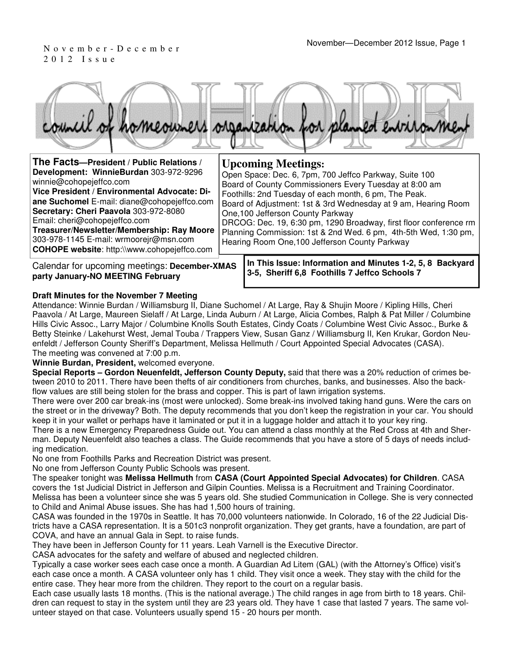# 2 0 1 2 I s s u e



| The Facts-President / Public Relations /                                                                                                                                                                                                                                                                                                                                                 | <b>Upcoming Meetings:</b>                                                                                                                                                                                                                                                                                                                                                                                                                                                  |
|------------------------------------------------------------------------------------------------------------------------------------------------------------------------------------------------------------------------------------------------------------------------------------------------------------------------------------------------------------------------------------------|----------------------------------------------------------------------------------------------------------------------------------------------------------------------------------------------------------------------------------------------------------------------------------------------------------------------------------------------------------------------------------------------------------------------------------------------------------------------------|
| Development: WinnieBurdan 303-972-9296<br>winnie@cohopejeffco.com<br>Vice President / Environmental Advocate: Di-<br>ane Suchomel E-mail: diane@cohopejeffco.com<br>Secretary: Cheri Paavola 303-972-8080<br>Email: cheri@cohopejeffco.com<br>Treasurer/Newsletter/Membership: Ray Moore<br>303-978-1145 E-mail: wrmoorejr@msn.com<br><b>COHOPE website: http://www.cohopejeffco.com</b> | Open Space: Dec. 6, 7pm, 700 Jeffco Parkway, Suite 100<br>Board of County Commissioners Every Tuesday at 8:00 am<br>Foothills: 2nd Tuesday of each month, 6 pm, The Peak.<br>Board of Adjustment: 1st & 3rd Wednesday at 9 am, Hearing Room<br>One, 100 Jefferson County Parkway<br>DRCOG: Dec. 19, 6:30 pm, 1290 Broadway, first floor conference rm<br>Planning Commission: 1st & 2nd Wed. 6 pm, 4th-5th Wed, 1:30 pm,<br>Hearing Room One, 100 Jefferson County Parkway |
|                                                                                                                                                                                                                                                                                                                                                                                          | In This Issue: Information and Minutes 1-2, 5, 8, Backward                                                                                                                                                                                                                                                                                                                                                                                                                 |

Calendar for upcoming meetings: **December-XMAS party January-NO MEETING February**

### **In This Issue: Information and Minutes 1-2, 5, 8 Backyard 3-5, Sheriff 6,8 Foothills 7 Jeffco Schools 7**

### **Draft Minutes for the November 7 Meeting**

Attendance: Winnie Burdan / Williamsburg II, Diane Suchomel / At Large, Ray & Shujin Moore / Kipling Hills, Cheri Paavola / At Large, Maureen Sielaff / At Large, Linda Auburn / At Large, Alicia Combes, Ralph & Pat Miller / Columbine Hills Civic Assoc., Larry Major / Columbine Knolls South Estates, Cindy Coats / Columbine West Civic Assoc., Burke & Betty Steinke / Lakehurst West, Jemal Touba / Trappers View, Susan Ganz / Williamsburg II, Ken Krukar, Gordon Neuenfeldt / Jefferson County Sheriff's Department, Melissa Hellmuth / Court Appointed Special Advocates (CASA). The meeting was convened at 7:00 p.m.

#### **Winnie Burdan, President,** welcomed everyone.

**Special Reports – Gordon Neuenfeldt, Jefferson County Deputy,** said that there was a 20% reduction of crimes between 2010 to 2011. There have been thefts of air conditioners from churches, banks, and businesses. Also the backflow values are still being stolen for the brass and copper. This is part of lawn irrigation systems.

There were over 200 car break-ins (most were unlocked). Some break-ins involved taking hand guns. Were the cars on the street or in the driveway? Both. The deputy recommends that you don't keep the registration in your car. You should keep it in your wallet or perhaps have it laminated or put it in a luggage holder and attach it to your key ring.

There is a new Emergency Preparedness Guide out. You can attend a class monthly at the Red Cross at 4th and Sherman. Deputy Neuenfeldt also teaches a class. The Guide recommends that you have a store of 5 days of needs including medication.

No one from Foothills Parks and Recreation District was present.

No one from Jefferson County Public Schools was present.

The speaker tonight was **Melissa Hellmuth** from **CASA (Court Appointed Special Advocates) for Children**. CASA covers the 1st Judicial District in Jefferson and Gilpin Counties. Melissa is a Recruitment and Training Coordinator. Melissa has been a volunteer since she was 5 years old. She studied Communication in College. She is very connected to Child and Animal Abuse issues. She has had 1,500 hours of training.

CASA was founded in the 1970s in Seattle. It has 70,000 volunteers nationwide. In Colorado, 16 of the 22 Judicial Districts have a CASA representation. It is a 501c3 nonprofit organization. They get grants, have a foundation, are part of COVA, and have an annual Gala in Sept. to raise funds.

They have been in Jefferson County for 11 years. Leah Varnell is the Executive Director.

CASA advocates for the safety and welfare of abused and neglected children.

Typically a case worker sees each case once a month. A Guardian Ad Litem (GAL) (with the Attorney's Office) visit's each case once a month. A CASA volunteer only has 1 child. They visit once a week. They stay with the child for the entire case. They hear more from the children. They report to the court on a regular basis.

Each case usually lasts 18 months. (This is the national average.) The child ranges in age from birth to 18 years. Children can request to stay in the system until they are 23 years old. They have 1 case that lasted 7 years. The same volunteer stayed on that case. Volunteers usually spend 15 - 20 hours per month.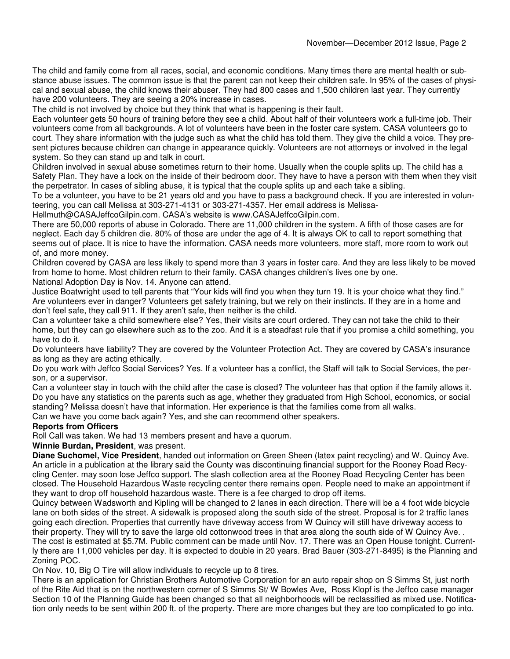The child and family come from all races, social, and economic conditions. Many times there are mental health or substance abuse issues. The common issue is that the parent can not keep their children safe. In 95% of the cases of physical and sexual abuse, the child knows their abuser. They had 800 cases and 1,500 children last year. They currently have 200 volunteers. They are seeing a 20% increase in cases.

The child is not involved by choice but they think that what is happening is their fault.

Each volunteer gets 50 hours of training before they see a child. About half of their volunteers work a full-time job. Their volunteers come from all backgrounds. A lot of volunteers have been in the foster care system. CASA volunteers go to court. They share information with the judge such as what the child has told them. They give the child a voice. They present pictures because children can change in appearance quickly. Volunteers are not attorneys or involved in the legal system. So they can stand up and talk in court.

Children involved in sexual abuse sometimes return to their home. Usually when the couple splits up. The child has a Safety Plan. They have a lock on the inside of their bedroom door. They have to have a person with them when they visit the perpetrator. In cases of sibling abuse, it is typical that the couple splits up and each take a sibling.

To be a volunteer, you have to be 21 years old and you have to pass a background check. If you are interested in volunteering, you can call Melissa at 303-271-4131 or 303-271-4357. Her email address is Melissa-

Hellmuth@CASAJeffcoGilpin.com. CASA's website is www.CASAJeffcoGilpin.com.

There are 50,000 reports of abuse in Colorado. There are 11,000 children in the system. A fifth of those cases are for neglect. Each day 5 children die. 80% of those are under the age of 4. It is always OK to call to report something that seems out of place. It is nice to have the information. CASA needs more volunteers, more staff, more room to work out of, and more money.

Children covered by CASA are less likely to spend more than 3 years in foster care. And they are less likely to be moved from home to home. Most children return to their family. CASA changes children's lives one by one.

National Adoption Day is Nov. 14. Anyone can attend.

Justice Boatwright used to tell parents that "Your kids will find you when they turn 19. It is your choice what they find." Are volunteers ever in danger? Volunteers get safety training, but we rely on their instincts. If they are in a home and don't feel safe, they call 911. If they aren't safe, then neither is the child.

Can a volunteer take a child somewhere else? Yes, their visits are court ordered. They can not take the child to their home, but they can go elsewhere such as to the zoo. And it is a steadfast rule that if you promise a child something, you have to do it.

Do volunteers have liability? They are covered by the Volunteer Protection Act. They are covered by CASA's insurance as long as they are acting ethically.

Do you work with Jeffco Social Services? Yes. If a volunteer has a conflict, the Staff will talk to Social Services, the person, or a supervisor.

Can a volunteer stay in touch with the child after the case is closed? The volunteer has that option if the family allows it. Do you have any statistics on the parents such as age, whether they graduated from High School, economics, or social standing? Melissa doesn't have that information. Her experience is that the families come from all walks.

Can we have you come back again? Yes, and she can recommend other speakers.

### **Reports from Officers**

Roll Call was taken. We had 13 members present and have a quorum.

#### **Winnie Burdan, President**, was present.

**Diane Suchomel, Vice President**, handed out information on Green Sheen (latex paint recycling) and W. Quincy Ave. An article in a publication at the library said the County was discontinuing financial support for the Rooney Road Recycling Center. may soon lose Jeffco support. The slash collection area at the Rooney Road Recycling Center has been closed. The Household Hazardous Waste recycling center there remains open. People need to make an appointment if they want to drop off household hazardous waste. There is a fee charged to drop off items.

Quincy between Wadsworth and Kipling will be changed to 2 lanes in each direction. There will be a 4 foot wide bicycle lane on both sides of the street. A sidewalk is proposed along the south side of the street. Proposal is for 2 traffic lanes going each direction. Properties that currently have driveway access from W Quincy will still have driveway access to their property. They will try to save the large old cottonwood trees in that area along the south side of W Quincy Ave. .

The cost is estimated at \$5.7M. Public comment can be made until Nov. 17. There was an Open House tonight. Currently there are 11,000 vehicles per day. It is expected to double in 20 years. Brad Bauer (303-271-8495) is the Planning and Zoning POC.

On Nov. 10, Big O Tire will allow individuals to recycle up to 8 tires.

There is an application for Christian Brothers Automotive Corporation for an auto repair shop on S Simms St, just north of the Rite Aid that is on the northwestern corner of S Simms St/ W Bowles Ave, Ross Klopf is the Jeffco case manager Section 10 of the Planning Guide has been changed so that all neighborhoods will be reclassified as mixed use. Notification only needs to be sent within 200 ft. of the property. There are more changes but they are too complicated to go into.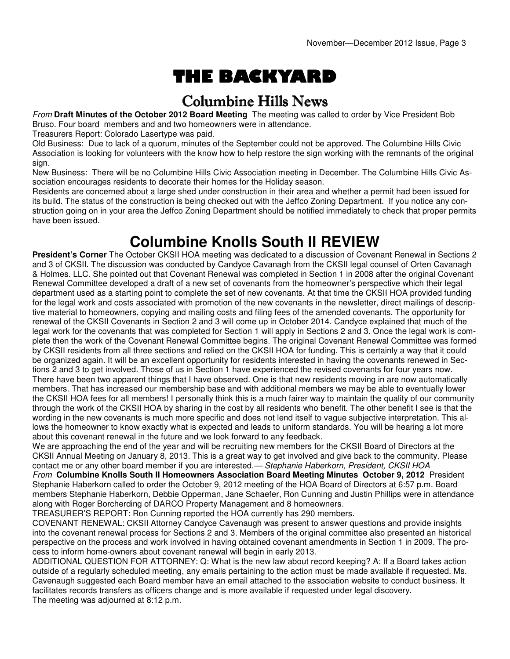# THE BACKYARD

### Columbine Hills News

From **Draft Minutes of the October 2012 Board Meeting** The meeting was called to order by Vice President Bob Bruso. Four board members and and two homeowners were in attendance.

Treasurers Report: Colorado Lasertype was paid.

Old Business: Due to lack of a quorum, minutes of the September could not be approved. The Columbine Hills Civic Association is looking for volunteers with the know how to help restore the sign working with the remnants of the original sign.

New Business: There will be no Columbine Hills Civic Association meeting in December. The Columbine Hills Civic Association encourages residents to decorate their homes for the Holiday season.

Residents are concerned about a large shed under construction in their area and whether a permit had been issued for its build. The status of the construction is being checked out with the Jeffco Zoning Department. If you notice any construction going on in your area the Jeffco Zoning Department should be notified immediately to check that proper permits have been issued.

### **Columbine Knolls South II REVIEW**

**President's Corner** The October CKSII HOA meeting was dedicated to a discussion of Covenant Renewal in Sections 2 and 3 of CKSII. The discussion was conducted by Candyce Cavanagh from the CKSII legal counsel of Orten Cavanagh & Holmes. LLC. She pointed out that Covenant Renewal was completed in Section 1 in 2008 after the original Covenant Renewal Committee developed a draft of a new set of covenants from the homeowner's perspective which their legal department used as a starting point to complete the set of new covenants. At that time the CKSII HOA provided funding for the legal work and costs associated with promotion of the new covenants in the newsletter, direct mailings of descriptive material to homeowners, copying and mailing costs and filing fees of the amended covenants. The opportunity for renewal of the CKSII Covenants in Section 2 and 3 will come up in October 2014. Candyce explained that much of the legal work for the covenants that was completed for Section 1 will apply in Sections 2 and 3. Once the legal work is complete then the work of the Covenant Renewal Committee begins. The original Covenant Renewal Committee was formed by CKSII residents from all three sections and relied on the CKSII HOA for funding. This is certainly a way that it could be organized again. It will be an excellent opportunity for residents interested in having the covenants renewed in Sections 2 and 3 to get involved. Those of us in Section 1 have experienced the revised covenants for four years now. There have been two apparent things that I have observed. One is that new residents moving in are now automatically members. That has increased our membership base and with additional members we may be able to eventually lower the CKSII HOA fees for all members! I personally think this is a much fairer way to maintain the quality of our community through the work of the CKSII HOA by sharing in the cost by all residents who benefit. The other benefit I see is that the wording in the new covenants is much more specific and does not lend itself to vague subjective interpretation. This allows the homeowner to know exactly what is expected and leads to uniform standards. You will be hearing a lot more about this covenant renewal in the future and we look forward to any feedback.

We are approaching the end of the year and will be recruiting new members for the CKSII Board of Directors at the CKSII Annual Meeting on January 8, 2013. This is a great way to get involved and give back to the community. Please contact me or any other board member if you are interested.— Stephanie Haberkorn, President, CKSII HOA From **Columbine Knolls South II Homeowners Association Board Meeting Minutes October 9, 2012** President Stephanie Haberkorn called to order the October 9, 2012 meeting of the HOA Board of Directors at 6:57 p.m. Board members Stephanie Haberkorn, Debbie Opperman, Jane Schaefer, Ron Cunning and Justin Phillips were in attendance along with Roger Borcherding of DARCO Property Management and 8 homeowners.

TREASURER'S REPORT: Ron Cunning reported the HOA currently has 290 members.

COVENANT RENEWAL: CKSII Attorney Candyce Cavenaugh was present to answer questions and provide insights into the covenant renewal process for Sections 2 and 3. Members of the original committee also presented an historical perspective on the process and work involved in having obtained covenant amendments in Section 1 in 2009. The process to inform home-owners about covenant renewal will begin in early 2013.

ADDITIONAL QUESTION FOR ATTORNEY: Q: What is the new law about record keeping? A: If a Board takes action outside of a regularly scheduled meeting, any emails pertaining to the action must be made available if requested. Ms. Cavenaugh suggested each Board member have an email attached to the association website to conduct business. It facilitates records transfers as officers change and is more available if requested under legal discovery. The meeting was adjourned at 8:12 p.m.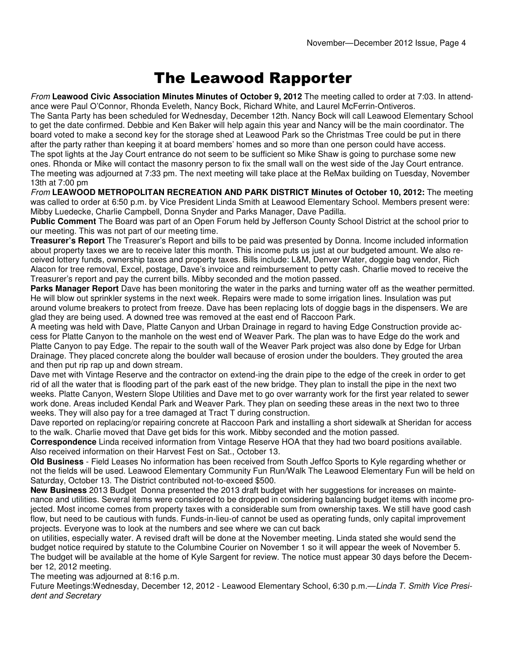### The Leawood Rapporter

From **Leawood Civic Association Minutes Minutes of October 9, 2012** The meeting called to order at 7:03. In attendance were Paul O'Connor, Rhonda Eveleth, Nancy Bock, Richard White, and Laurel McFerrin-Ontiveros. The Santa Party has been scheduled for Wednesday, December 12th. Nancy Bock will call Leawood Elementary School

to get the date confirmed. Debbie and Ken Baker will help again this year and Nancy will be the main coordinator. The board voted to make a second key for the storage shed at Leawood Park so the Christmas Tree could be put in there after the party rather than keeping it at board members' homes and so more than one person could have access. The spot lights at the Jay Court entrance do not seem to be sufficient so Mike Shaw is going to purchase some new ones. Rhonda or Mike will contact the masonry person to fix the small wall on the west side of the Jay Court entrance. The meeting was adjourned at 7:33 pm. The next meeting will take place at the ReMax building on Tuesday, November 13th at 7:00 pm

From **LEAWOOD METROPOLITAN RECREATION AND PARK DISTRICT Minutes of October 10, 2012:** The meeting was called to order at 6:50 p.m. by Vice President Linda Smith at Leawood Elementary School. Members present were: Mibby Luedecke, Charlie Campbell, Donna Snyder and Parks Manager, Dave Padilla.

**Public Comment** The Board was part of an Open Forum held by Jefferson County School District at the school prior to our meeting. This was not part of our meeting time.

**Treasurer's Report** The Treasurer's Report and bills to be paid was presented by Donna. Income included information about property taxes we are to receive later this month. This income puts us just at our budgeted amount. We also received lottery funds, ownership taxes and property taxes. Bills include: L&M, Denver Water, doggie bag vendor, Rich Alacon for tree removal, Excel, postage, Dave's invoice and reimbursement to petty cash. Charlie moved to receive the Treasurer's report and pay the current bills. Mibby seconded and the motion passed.

**Parks Manager Report** Dave has been monitoring the water in the parks and turning water off as the weather permitted. He will blow out sprinkler systems in the next week. Repairs were made to some irrigation lines. Insulation was put around volume breakers to protect from freeze. Dave has been replacing lots of doggie bags in the dispensers. We are glad they are being used. A downed tree was removed at the east end of Raccoon Park.

A meeting was held with Dave, Platte Canyon and Urban Drainage in regard to having Edge Construction provide access for Platte Canyon to the manhole on the west end of Weaver Park. The plan was to have Edge do the work and Platte Canyon to pay Edge. The repair to the south wall of the Weaver Park project was also done by Edge for Urban Drainage. They placed concrete along the boulder wall because of erosion under the boulders. They grouted the area and then put rip rap up and down stream.

Dave met with Vintage Reserve and the contractor on extend-ing the drain pipe to the edge of the creek in order to get rid of all the water that is flooding part of the park east of the new bridge. They plan to install the pipe in the next two weeks. Platte Canyon, Western Slope Utilities and Dave met to go over warranty work for the first year related to sewer work done. Areas included Kendal Park and Weaver Park. They plan on seeding these areas in the next two to three weeks. They will also pay for a tree damaged at Tract T during construction.

Dave reported on replacing/or repairing concrete at Raccoon Park and installing a short sidewalk at Sheridan for access to the walk. Charlie moved that Dave get bids for this work. Mibby seconded and the motion passed.

**Correspondence** Linda received information from Vintage Reserve HOA that they had two board positions available. Also received information on their Harvest Fest on Sat., October 13.

**Old Business** - Field Leases No information has been received from South Jeffco Sports to Kyle regarding whether or not the fields will be used. Leawood Elementary Community Fun Run/Walk The Leawood Elementary Fun will be held on Saturday, October 13. The District contributed not-to-exceed \$500.

**New Business** 2013 Budget Donna presented the 2013 draft budget with her suggestions for increases on maintenance and utilities. Several items were considered to be dropped in considering balancing budget items with income projected. Most income comes from property taxes with a considerable sum from ownership taxes. We still have good cash flow, but need to be cautious with funds. Funds-in-lieu-of cannot be used as operating funds, only capital improvement projects. Everyone was to look at the numbers and see where we can cut back

on utilities, especially water. A revised draft will be done at the November meeting. Linda stated she would send the budget notice required by statute to the Columbine Courier on November 1 so it will appear the week of November 5. The budget will be available at the home of Kyle Sargent for review. The notice must appear 30 days before the December 12, 2012 meeting.

The meeting was adjourned at 8:16 p.m.

Future Meetings: Wednesday, December 12, 2012 - Leawood Elementary School, 6:30 p.m.—Linda T. Smith Vice President and Secretary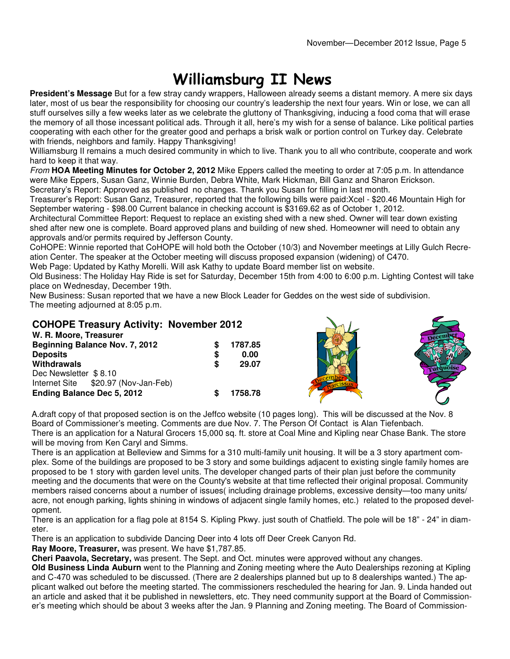$\sim$ 

# Williamsburg II News

**President's Message** But for a few stray candy wrappers, Halloween already seems a distant memory. A mere six days later, most of us bear the responsibility for choosing our country's leadership the next four years. Win or lose, we can all stuff ourselves silly a few weeks later as we celebrate the gluttony of Thanksgiving, inducing a food coma that will erase the memory of all those incessant political ads. Through it all, here's my wish for a sense of balance. Like political parties cooperating with each other for the greater good and perhaps a brisk walk or portion control on Turkey day. Celebrate with friends, neighbors and family. Happy Thanksgiving!

Williamsburg II remains a much desired community in which to live. Thank you to all who contribute, cooperate and work hard to keep it that way.

From **HOA Meeting Minutes for October 2, 2012** Mike Eppers called the meeting to order at 7:05 p.m. In attendance were Mike Eppers, Susan Ganz, Winnie Burden, Debra White, Mark Hickman, Bill Ganz and Sharon Erickson. Secretary's Report: Approved as published no changes. Thank you Susan for filling in last month.

Treasurer's Report: Susan Ganz, Treasurer, reported that the following bills were paid:Xcel - \$20.46 Mountain High for September watering - \$98.00 Current balance in checking account is \$3169.62 as of October 1, 2012.

Architectural Committee Report: Request to replace an existing shed with a new shed. Owner will tear down existing shed after new one is complete. Board approved plans and building of new shed. Homeowner will need to obtain any approvals and/or permits required by Jefferson County.

CoHOPE: Winnie reported that CoHOPE will hold both the October (10/3) and November meetings at Lilly Gulch Recreation Center. The speaker at the October meeting will discuss proposed expansion (widening) of C470.

Web Page: Updated by Kathy Morelli. Will ask Kathy to update Board member list on website.

Old Business: The Holiday Hay Ride is set for Saturday, December 15th from 4:00 to 6:00 p.m. Lighting Contest will take place on Wednesday, December 19th.

 $\sqrt{1}$ 

New Business: Susan reported that we have a new Block Leader for Geddes on the west side of subdivision. The meeting adjourned at 8:05 p.m.

**COHOPE Treasury Activity: November 2012** 

| 1787.85 |  |
|---------|--|
| 0.00    |  |
| 29.07   |  |
|         |  |
|         |  |
| 1758.78 |  |
|         |  |

A.draft copy of that proposed section is on the Jeffco website (10 pages long). This will be discussed at the Nov. 8 Board of Commissioner's meeting. Comments are due Nov. 7. The Person Of Contact is Alan Tiefenbach. There is an application for a Natural Grocers 15,000 sq. ft. store at Coal Mine and Kipling near Chase Bank. The store will be moving from Ken Caryl and Simms.

There is an application at Belleview and Simms for a 310 multi-family unit housing. It will be a 3 story apartment complex. Some of the buildings are proposed to be 3 story and some buildings adjacent to existing single family homes are proposed to be 1 story with garden level units. The developer changed parts of their plan just before the community meeting and the documents that were on the County's website at that time reflected their original proposal. Community members raised concerns about a number of issues( including drainage problems, excessive density—too many units/ acre, not enough parking, lights shining in windows of adjacent single family homes, etc.) related to the proposed development.

There is an application for a flag pole at 8154 S. Kipling Pkwy. just south of Chatfield. The pole will be 18" - 24" in diameter.

There is an application to subdivide Dancing Deer into 4 lots off Deer Creek Canyon Rd.

**Ray Moore, Treasurer,** was present. We have \$1,787.85.

**Cheri Paavola, Secretary,** was present. The Sept. and Oct. minutes were approved without any changes.

**Old Business Linda Auburn** went to the Planning and Zoning meeting where the Auto Dealerships rezoning at Kipling and C-470 was scheduled to be discussed. (There are 2 dealerships planned but up to 8 dealerships wanted.) The applicant walked out before the meeting started. The commissioners rescheduled the hearing for Jan. 9. Linda handed out an article and asked that it be published in newsletters, etc. They need community support at the Board of Commissioner's meeting which should be about 3 weeks after the Jan. 9 Planning and Zoning meeting. The Board of Commission-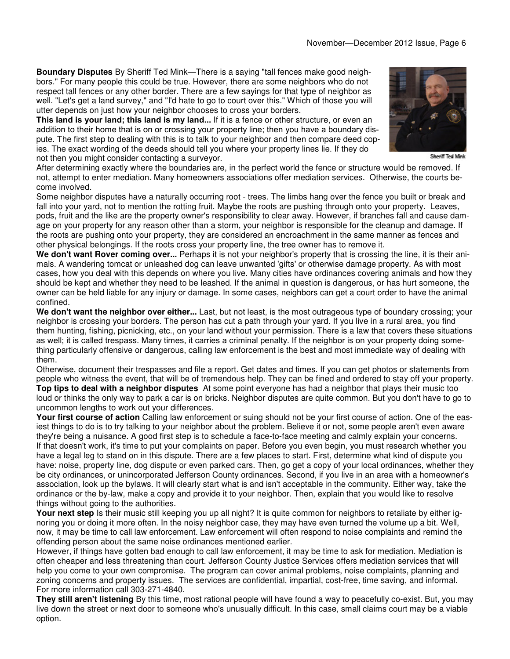**Boundary Disputes** By Sheriff Ted Mink—There is a saying "tall fences make good neighbors." For many people this could be true. However, there are some neighbors who do not respect tall fences or any other border. There are a few sayings for that type of neighbor as well. "Let's get a land survey," and "I'd hate to go to court over this." Which of those you will utter depends on just how your neighbor chooses to cross your borders.

This land is your land; this land is my land... If it is a fence or other structure, or even an addition to their home that is on or crossing your property line; then you have a boundary dispute. The first step to dealing with this is to talk to your neighbor and then compare deed copies. The exact wording of the deeds should tell you where your property lines lie. If they do not then you might consider contacting a surveyor.

Sheriff Ted Mink

After determining exactly where the boundaries are, in the perfect world the fence or structure would be removed. If not, attempt to enter mediation. Many homeowners associations offer mediation services. Otherwise, the courts become involved.

Some neighbor disputes have a naturally occurring root - trees. The limbs hang over the fence you built or break and fall into your yard, not to mention the rotting fruit. Maybe the roots are pushing through onto your property. Leaves, pods, fruit and the like are the property owner's responsibility to clear away. However, if branches fall and cause damage on your property for any reason other than a storm, your neighbor is responsible for the cleanup and damage. If the roots are pushing onto your property, they are considered an encroachment in the same manner as fences and other physical belongings. If the roots cross your property line, the tree owner has to remove it.

**We don't want Rover coming over...** Perhaps it is not your neighbor's property that is crossing the line, it is their animals. A wandering tomcat or unleashed dog can leave unwanted 'gifts' or otherwise damage property. As with most cases, how you deal with this depends on where you live. Many cities have ordinances covering animals and how they should be kept and whether they need to be leashed. If the animal in question is dangerous, or has hurt someone, the owner can be held liable for any injury or damage. In some cases, neighbors can get a court order to have the animal confined.

**We don't want the neighbor over either...** Last, but not least, is the most outrageous type of boundary crossing; your neighbor is crossing your borders. The person has cut a path through your yard. If you live in a rural area, you find them hunting, fishing, picnicking, etc., on your land without your permission. There is a law that covers these situations as well; it is called trespass. Many times, it carries a criminal penalty. If the neighbor is on your property doing something particularly offensive or dangerous, calling law enforcement is the best and most immediate way of dealing with them.

Otherwise, document their trespasses and file a report. Get dates and times. If you can get photos or statements from people who witness the event, that will be of tremendous help. They can be fined and ordered to stay off your property. **Top tips to deal with a neighbor disputes** At some point everyone has had a neighbor that plays their music too loud or thinks the only way to park a car is on bricks. Neighbor disputes are quite common. But you don't have to go to uncommon lengths to work out your differences.

**Your first course of action** Calling law enforcement or suing should not be your first course of action. One of the easiest things to do is to try talking to your neighbor about the problem. Believe it or not, some people aren't even aware they're being a nuisance. A good first step is to schedule a face-to-face meeting and calmly explain your concerns. If that doesn't work, it's time to put your complaints on paper. Before you even begin, you must research whether you have a legal leg to stand on in this dispute. There are a few places to start. First, determine what kind of dispute you have: noise, property line, dog dispute or even parked cars. Then, go get a copy of your local ordinances, whether they be city ordinances, or unincorporated Jefferson County ordinances. Second, if you live in an area with a homeowner's association, look up the bylaws. It will clearly start what is and isn't acceptable in the community. Either way, take the ordinance or the by-law, make a copy and provide it to your neighbor. Then, explain that you would like to resolve things without going to the authorities.

Your next step Is their music still keeping you up all night? It is quite common for neighbors to retaliate by either ignoring you or doing it more often. In the noisy neighbor case, they may have even turned the volume up a bit. Well, now, it may be time to call law enforcement. Law enforcement will often respond to noise complaints and remind the offending person about the same noise ordinances mentioned earlier.

However, if things have gotten bad enough to call law enforcement, it may be time to ask for mediation. Mediation is often cheaper and less threatening than court. Jefferson County Justice Services offers mediation services that will help you come to your own compromise. The program can cover animal problems, noise complaints, planning and zoning concerns and property issues. The services are confidential, impartial, cost-free, time saving, and informal. For more information call 303-271-4840.

**They still aren't listening** By this time, most rational people will have found a way to peacefully co-exist. But, you may live down the street or next door to someone who's unusually difficult. In this case, small claims court may be a viable option.

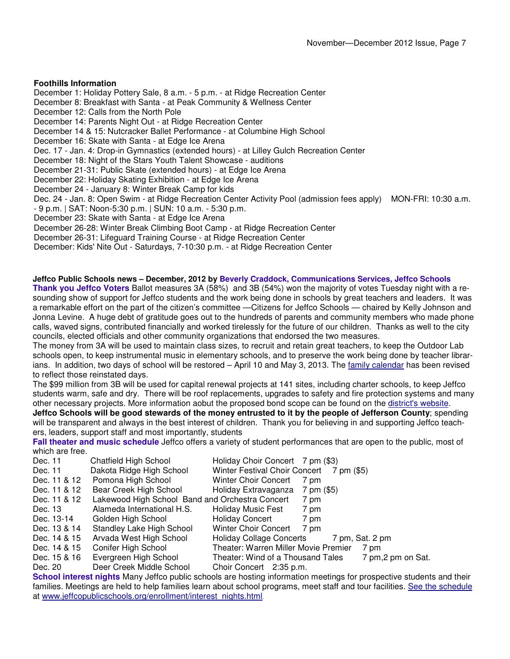### **Foothills Information**

December 1: Holiday Pottery Sale, 8 a.m. - 5 p.m. - at Ridge Recreation Center December 8: Breakfast with Santa - at Peak Community & Wellness Center December 12: Calls from the North Pole December 14: Parents Night Out - at Ridge Recreation Center December 14 & 15: Nutcracker Ballet Performance - at Columbine High School December 16: Skate with Santa - at Edge Ice Arena Dec. 17 - Jan. 4: Drop-in Gymnastics (extended hours) - at Lilley Gulch Recreation Center December 18: Night of the Stars Youth Talent Showcase - auditions December 21-31: Public Skate (extended hours) - at Edge Ice Arena December 22: Holiday Skating Exhibition - at Edge Ice Arena December 24 - January 8: Winter Break Camp for kids Dec. 24 - Jan. 8: Open Swim - at Ridge Recreation Center Activity Pool (admission fees apply) MON-FRI: 10:30 a.m. - 9 p.m. | SAT: Noon-5:30 p.m. | SUN: 10 a.m. - 5:30 p.m. December 23: Skate with Santa - at Edge Ice Arena December 26-28: Winter Break Climbing Boot Camp - at Ridge Recreation Center December 26-31: Lifeguard Training Course - at Ridge Recreation Center December: Kids' Nite Out - Saturdays, 7-10:30 p.m. - at Ridge Recreation Center

### **Jeffco Public Schools news – December, 2012 by Beverly Craddock, Communications Services, Jeffco Schools**

**Thank you Jeffco Voters** Ballot measures 3A (58%) and 3B (54%) won the majority of votes Tuesday night with a resounding show of support for Jeffco students and the work being done in schools by great teachers and leaders. It was a remarkable effort on the part of the citizen's committee —Citizens for Jeffco Schools — chaired by Kelly Johnson and Jonna Levine. A huge debt of gratitude goes out to the hundreds of parents and community members who made phone calls, waved signs, contributed financially and worked tirelessly for the future of our children. Thanks as well to the city councils, elected officials and other community organizations that endorsed the two measures.

The money from 3A will be used to maintain class sizes, to recruit and retain great teachers, to keep the Outdoor Lab schools open, to keep instrumental music in elementary schools, and to preserve the work being done by teacher librarians. In addition, two days of school will be restored – April 10 and May 3, 2013. The family calendar has been revised to reflect those reinstated days.

The \$99 million from 3B will be used for capital renewal projects at 141 sites, including charter schools, to keep Jeffco students warm, safe and dry. There will be roof replacements, upgrades to safety and fire protection systems and many other necessary projects. More information aobut the proposed bond scope can be found on the district's website.

**Jeffco Schools will be good stewards of the money entrusted to it by the people of Jefferson County**; spending will be transparent and always in the best interest of children. Thank you for believing in and supporting Jeffco teachers, leaders, support staff and most importantly, students

**Fall theater and music schedule** Jeffco offers a variety of student performances that are open to the public, most of which are free.

| Dec. 11      | <b>Chatfield High School</b>                    | Holiday Choir Concert 7 pm (\$3)         |                                          |
|--------------|-------------------------------------------------|------------------------------------------|------------------------------------------|
| Dec. 11      | Dakota Ridge High School                        | Winter Festival Choir Concert 7 pm (\$5) |                                          |
| Dec. 11 & 12 | Pomona High School                              | <b>Winter Choir Concert</b>              | 7 pm                                     |
| Dec. 11 & 12 | Bear Creek High School                          | Holiday Extravaganza                     | 7 pm (\$5)                               |
| Dec. 11 & 12 | Lakewood High School Band and Orchestra Concert |                                          | 7 pm                                     |
| Dec. 13      | Alameda International H.S.                      | Holiday Music Fest                       | 7 pm                                     |
| Dec. 13-14   | Golden High School                              | Holiday Concert                          | 7 pm                                     |
| Dec. 13 & 14 | Standley Lake High School                       | Winter Choir Concert                     | 7 pm                                     |
| Dec. 14 & 15 | Arvada West High School                         |                                          | Holiday Collage Concerts 7 pm, Sat. 2 pm |
| Dec. 14 & 15 | Conifer High School                             | Theater: Warren Miller Movie Premier     | 7 pm                                     |
| Dec. 15 & 16 | Evergreen High School                           | Theater: Wind of a Thousand Tales        | 7 pm, 2 pm on Sat.                       |
| Dec. 20      | Deer Creek Middle School                        | Choir Concert 2:35 p.m.                  |                                          |

**School interest nights** Many Jeffco public schools are hosting information meetings for prospective students and their families. Meetings are held to help families learn about school programs, meet staff and tour facilities. See the schedule at www.jeffcopublicschools.org/enrollment/interest\_nights.html.